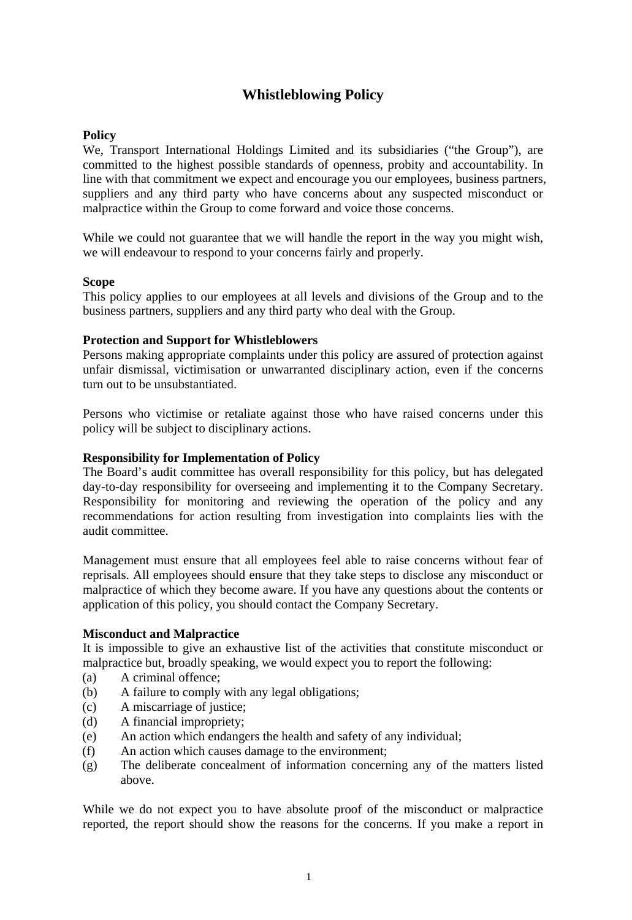# **Whistleblowing Policy**

## **Policy**

We, Transport International Holdings Limited and its subsidiaries ("the Group"), are committed to the highest possible standards of openness, probity and accountability. In line with that commitment we expect and encourage you our employees, business partners, suppliers and any third party who have concerns about any suspected misconduct or malpractice within the Group to come forward and voice those concerns.

While we could not guarantee that we will handle the report in the way you might wish, we will endeavour to respond to your concerns fairly and properly.

### **Scope**

This policy applies to our employees at all levels and divisions of the Group and to the business partners, suppliers and any third party who deal with the Group.

### **Protection and Support for Whistleblowers**

Persons making appropriate complaints under this policy are assured of protection against unfair dismissal, victimisation or unwarranted disciplinary action, even if the concerns turn out to be unsubstantiated.

Persons who victimise or retaliate against those who have raised concerns under this policy will be subject to disciplinary actions.

#### **Responsibility for Implementation of Policy**

The Board's audit committee has overall responsibility for this policy, but has delegated day-to-day responsibility for overseeing and implementing it to the Company Secretary. Responsibility for monitoring and reviewing the operation of the policy and any recommendations for action resulting from investigation into complaints lies with the audit committee.

Management must ensure that all employees feel able to raise concerns without fear of reprisals. All employees should ensure that they take steps to disclose any misconduct or malpractice of which they become aware. If you have any questions about the contents or application of this policy, you should contact the Company Secretary.

### **Misconduct and Malpractice**

It is impossible to give an exhaustive list of the activities that constitute misconduct or malpractice but, broadly speaking, we would expect you to report the following:

- (a) A criminal offence;
- (b) A failure to comply with any legal obligations;
- (c) A miscarriage of justice;
- (d) A financial impropriety;
- (e) An action which endangers the health and safety of any individual;
- (f) An action which causes damage to the environment;
- (g) The deliberate concealment of information concerning any of the matters listed above.

While we do not expect you to have absolute proof of the misconduct or malpractice reported, the report should show the reasons for the concerns. If you make a report in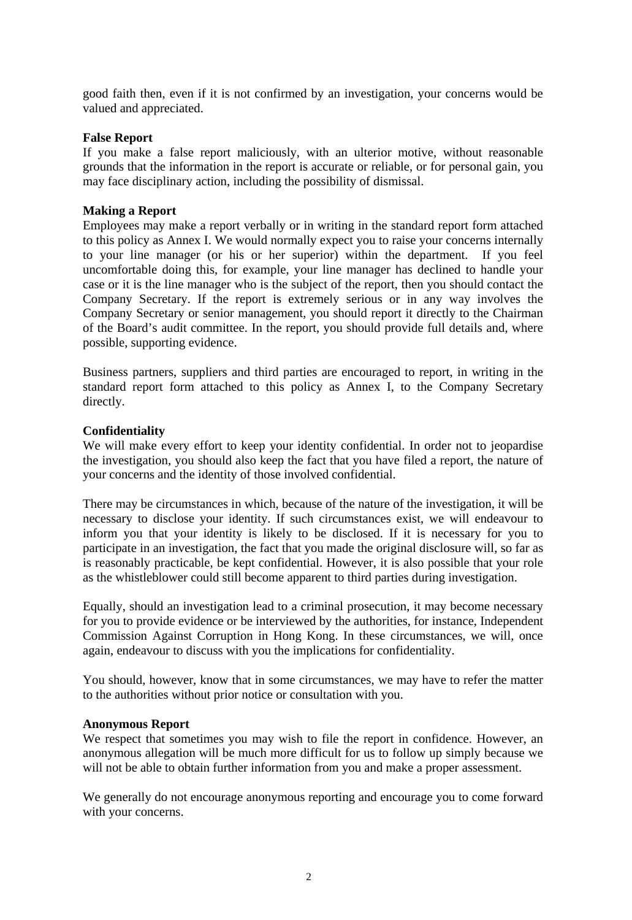good faith then, even if it is not confirmed by an investigation, your concerns would be valued and appreciated.

#### **False Report**

If you make a false report maliciously, with an ulterior motive, without reasonable grounds that the information in the report is accurate or reliable, or for personal gain, you may face disciplinary action, including the possibility of dismissal.

## **Making a Report**

Employees may make a report verbally or in writing in the standard report form attached to this policy as Annex I. We would normally expect you to raise your concerns internally to your line manager (or his or her superior) within the department. If you feel uncomfortable doing this, for example, your line manager has declined to handle your case or it is the line manager who is the subject of the report, then you should contact the Company Secretary. If the report is extremely serious or in any way involves the Company Secretary or senior management, you should report it directly to the Chairman of the Board's audit committee. In the report, you should provide full details and, where possible, supporting evidence.

Business partners, suppliers and third parties are encouraged to report, in writing in the standard report form attached to this policy as Annex I, to the Company Secretary directly.

#### **Confidentiality**

We will make every effort to keep your identity confidential. In order not to jeopardise the investigation, you should also keep the fact that you have filed a report, the nature of your concerns and the identity of those involved confidential.

There may be circumstances in which, because of the nature of the investigation, it will be necessary to disclose your identity. If such circumstances exist, we will endeavour to inform you that your identity is likely to be disclosed. If it is necessary for you to participate in an investigation, the fact that you made the original disclosure will, so far as is reasonably practicable, be kept confidential. However, it is also possible that your role as the whistleblower could still become apparent to third parties during investigation.

Equally, should an investigation lead to a criminal prosecution, it may become necessary for you to provide evidence or be interviewed by the authorities, for instance, Independent Commission Against Corruption in Hong Kong. In these circumstances, we will, once again, endeavour to discuss with you the implications for confidentiality.

You should, however, know that in some circumstances, we may have to refer the matter to the authorities without prior notice or consultation with you.

#### **Anonymous Report**

We respect that sometimes you may wish to file the report in confidence. However, an anonymous allegation will be much more difficult for us to follow up simply because we will not be able to obtain further information from you and make a proper assessment.

We generally do not encourage anonymous reporting and encourage you to come forward with your concerns.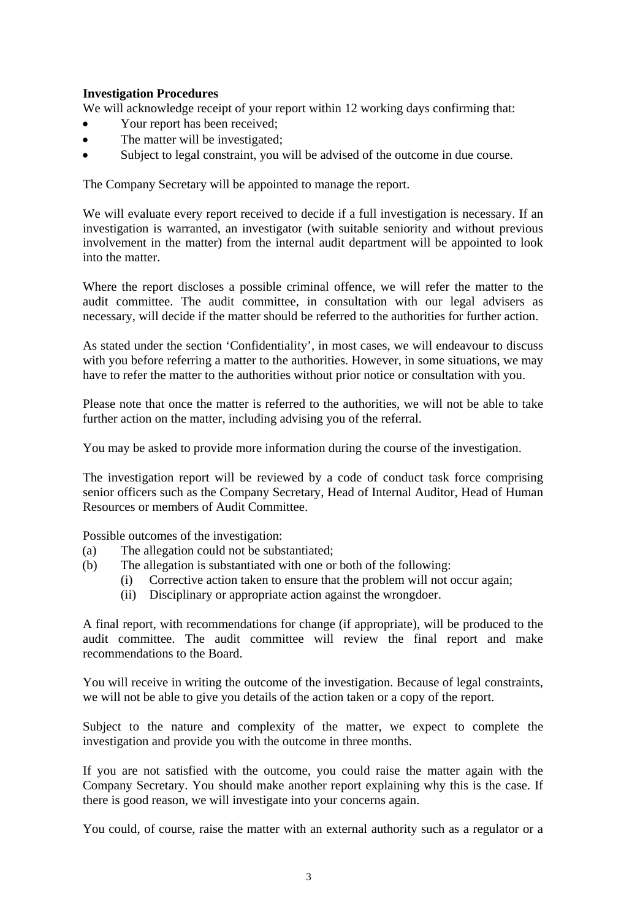# **Investigation Procedures**

We will acknowledge receipt of your report within 12 working days confirming that:

- Your report has been received;
- The matter will be investigated:
- Subject to legal constraint, you will be advised of the outcome in due course.

The Company Secretary will be appointed to manage the report.

We will evaluate every report received to decide if a full investigation is necessary. If an investigation is warranted, an investigator (with suitable seniority and without previous involvement in the matter) from the internal audit department will be appointed to look into the matter.

Where the report discloses a possible criminal offence, we will refer the matter to the audit committee. The audit committee, in consultation with our legal advisers as necessary, will decide if the matter should be referred to the authorities for further action.

As stated under the section 'Confidentiality', in most cases, we will endeavour to discuss with you before referring a matter to the authorities. However, in some situations, we may have to refer the matter to the authorities without prior notice or consultation with you.

Please note that once the matter is referred to the authorities, we will not be able to take further action on the matter, including advising you of the referral.

You may be asked to provide more information during the course of the investigation.

The investigation report will be reviewed by a code of conduct task force comprising senior officers such as the Company Secretary, Head of Internal Auditor, Head of Human Resources or members of Audit Committee.

Possible outcomes of the investigation:

- (a) The allegation could not be substantiated;
- (b) The allegation is substantiated with one or both of the following:
	- (i) Corrective action taken to ensure that the problem will not occur again;
	- (ii) Disciplinary or appropriate action against the wrongdoer.

A final report, with recommendations for change (if appropriate), will be produced to the audit committee. The audit committee will review the final report and make recommendations to the Board.

You will receive in writing the outcome of the investigation. Because of legal constraints, we will not be able to give you details of the action taken or a copy of the report.

Subject to the nature and complexity of the matter, we expect to complete the investigation and provide you with the outcome in three months.

If you are not satisfied with the outcome, you could raise the matter again with the Company Secretary. You should make another report explaining why this is the case. If there is good reason, we will investigate into your concerns again.

You could, of course, raise the matter with an external authority such as a regulator or a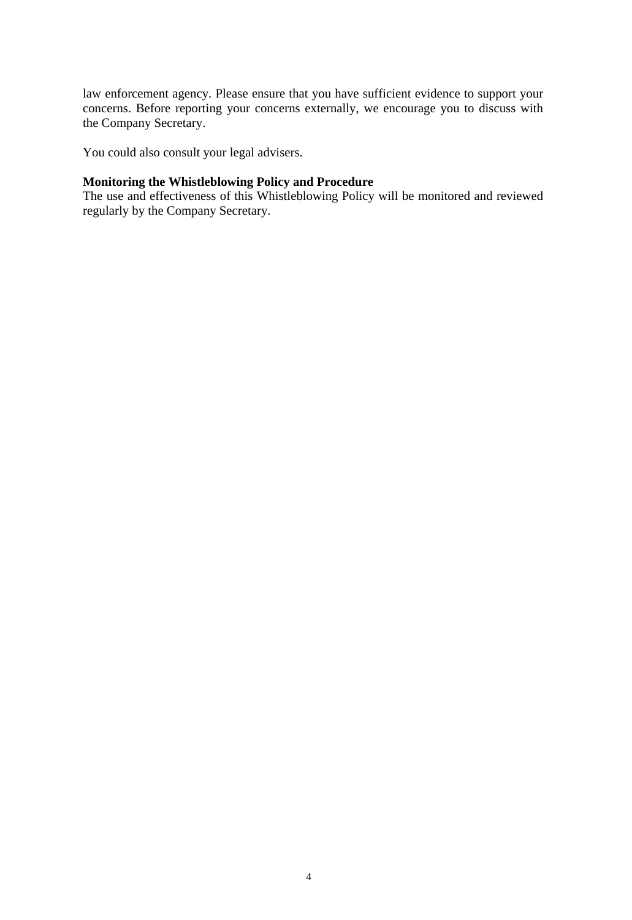law enforcement agency. Please ensure that you have sufficient evidence to support your concerns. Before reporting your concerns externally, we encourage you to discuss with the Company Secretary.

You could also consult your legal advisers.

## **Monitoring the Whistleblowing Policy and Procedure**

The use and effectiveness of this Whistleblowing Policy will be monitored and reviewed regularly by the Company Secretary.